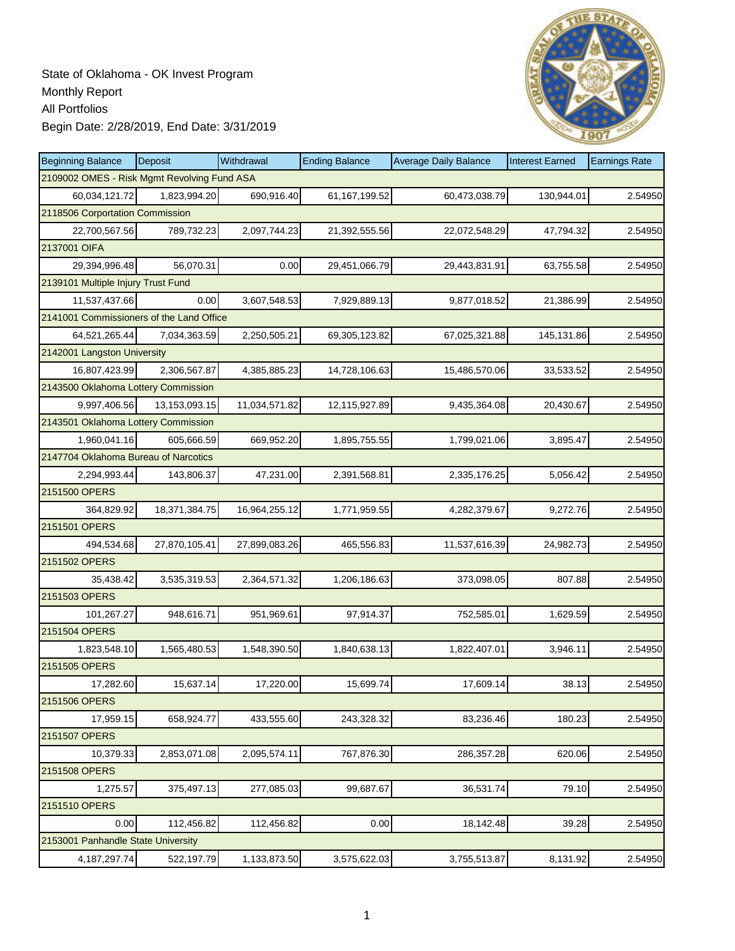

| <b>Beginning Balance</b>                    | Deposit       | Withdrawal    | <b>Ending Balance</b> | <b>Average Daily Balance</b> | <b>Interest Earned</b> | <b>Earnings Rate</b> |  |  |  |
|---------------------------------------------|---------------|---------------|-----------------------|------------------------------|------------------------|----------------------|--|--|--|
| 2109002 OMES - Risk Mgmt Revolving Fund ASA |               |               |                       |                              |                        |                      |  |  |  |
| 60,034,121.72                               | 1,823,994.20  | 690,916.40    | 61, 167, 199.52       | 60,473,038.79                | 130,944.01             | 2.54950              |  |  |  |
| 2118506 Corportation Commission             |               |               |                       |                              |                        |                      |  |  |  |
| 22,700,567.56                               | 789,732.23    | 2,097,744.23  | 21,392,555.56         | 22,072,548.29                | 47,794.32              | 2.54950              |  |  |  |
| 2137001 OIFA                                |               |               |                       |                              |                        |                      |  |  |  |
| 29,394,996.48                               | 56,070.31     | 0.00          | 29,451,066.79         | 29,443,831.91                | 63,755.58              | 2.54950              |  |  |  |
| 2139101 Multiple Injury Trust Fund          |               |               |                       |                              |                        |                      |  |  |  |
| 11,537,437.66                               | 0.00          | 3,607,548.53  | 7,929,889.13          | 9,877,018.52                 | 21,386.99              | 2.54950              |  |  |  |
| 2141001 Commissioners of the Land Office    |               |               |                       |                              |                        |                      |  |  |  |
| 64,521,265.44                               | 7,034,363.59  | 2,250,505.21  | 69,305,123.82         | 67,025,321.88                | 145,131.86             | 2.54950              |  |  |  |
| 2142001 Langston University                 |               |               |                       |                              |                        |                      |  |  |  |
| 16,807,423.99                               | 2,306,567.87  | 4,385,885.23  | 14,728,106.63         | 15,486,570.06                | 33,533.52              | 2.54950              |  |  |  |
| 2143500 Oklahoma Lottery Commission         |               |               |                       |                              |                        |                      |  |  |  |
| 9,997,406.56                                | 13,153,093.15 | 11,034,571.82 | 12,115,927.89         | 9,435,364.08                 | 20,430.67              | 2.54950              |  |  |  |
| 2143501 Oklahoma Lottery Commission         |               |               |                       |                              |                        |                      |  |  |  |
| 1,960,041.16                                | 605,666.59    | 669,952.20    | 1,895,755.55          | 1,799,021.06                 | 3,895.47               | 2.54950              |  |  |  |
| 2147704 Oklahoma Bureau of Narcotics        |               |               |                       |                              |                        |                      |  |  |  |
| 2,294,993.44                                | 143,806.37    | 47,231.00     | 2,391,568.81          | 2,335,176.25                 | 5,056.42               | 2.54950              |  |  |  |
| 2151500 OPERS                               |               |               |                       |                              |                        |                      |  |  |  |
| 364,829.92                                  | 18,371,384.75 | 16,964,255.12 | 1,771,959.55          | 4,282,379.67                 | 9,272.76               | 2.54950              |  |  |  |
| 2151501 OPERS                               |               |               |                       |                              |                        |                      |  |  |  |
| 494,534.68                                  | 27,870,105.41 | 27,899,083.26 | 465,556.83            | 11,537,616.39                | 24,982.73              | 2.54950              |  |  |  |
| 2151502 OPERS                               |               |               |                       |                              |                        |                      |  |  |  |
| 35,438.42                                   | 3,535,319.53  | 2,364,571.32  | 1,206,186.63          | 373,098.05                   | 807.88                 | 2.54950              |  |  |  |
| 2151503 OPERS                               |               |               |                       |                              |                        |                      |  |  |  |
| 101,267.27                                  | 948,616.71    | 951,969.61    | 97,914.37             | 752,585.01                   | 1,629.59               | 2.54950              |  |  |  |
| 2151504 OPERS                               |               |               |                       |                              |                        |                      |  |  |  |
| 1,823,548.10                                | 1,565,480.53  | 1,548,390.50  | 1,840,638.13          | 1,822,407.01                 | 3,946.11               | 2.54950              |  |  |  |
| 2151505 OPERS                               |               |               |                       |                              |                        |                      |  |  |  |
| 17,282.60                                   | 15,637.14     | 17,220.00     | 15,699.74             | 17,609.14                    | 38.13                  | 2.54950              |  |  |  |
| 2151506 OPERS                               |               |               |                       |                              |                        |                      |  |  |  |
| 17,959.15                                   | 658,924.77    | 433,555.60    | 243,328.32            | 83,236.46                    | 180.23                 | 2.54950              |  |  |  |
| 2151507 OPERS                               |               |               |                       |                              |                        |                      |  |  |  |
| 10,379.33                                   | 2,853,071.08  | 2,095,574.11  | 767,876.30            | 286,357.28                   | 620.06                 | 2.54950              |  |  |  |
| 2151508 OPERS                               |               |               |                       |                              |                        |                      |  |  |  |
| 1,275.57                                    | 375,497.13    | 277,085.03    | 99,687.67             | 36,531.74                    | 79.10                  | 2.54950              |  |  |  |
| 2151510 OPERS                               |               |               |                       |                              |                        |                      |  |  |  |
| 0.00                                        | 112,456.82    | 112,456.82    | 0.00                  | 18,142.48                    | 39.28                  | 2.54950              |  |  |  |
| 2153001 Panhandle State University          |               |               |                       |                              |                        |                      |  |  |  |
| 4, 187, 297. 74                             | 522,197.79    | 1,133,873.50  | 3,575,622.03          | 3,755,513.87                 | 8,131.92               | 2.54950              |  |  |  |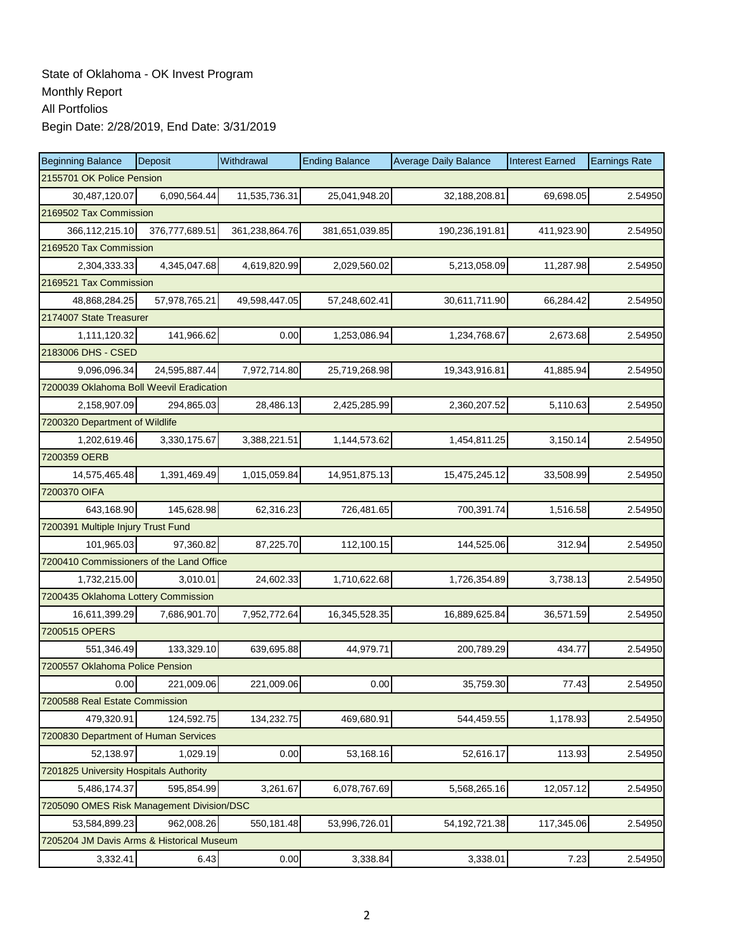| <b>Beginning Balance</b>                  | Deposit                            | Withdrawal     | <b>Ending Balance</b> | <b>Average Daily Balance</b> | <b>Interest Earned</b> | <b>Earnings Rate</b> |  |  |  |
|-------------------------------------------|------------------------------------|----------------|-----------------------|------------------------------|------------------------|----------------------|--|--|--|
| 2155701 OK Police Pension                 |                                    |                |                       |                              |                        |                      |  |  |  |
| 30,487,120.07                             | 6,090,564.44                       | 11,535,736.31  | 25,041,948.20         | 32,188,208.81                | 69,698.05              | 2.54950              |  |  |  |
|                                           | 2169502 Tax Commission             |                |                       |                              |                        |                      |  |  |  |
| 366, 112, 215. 10                         | 376,777,689.51                     | 361,238,864.76 | 381,651,039.85        | 190,236,191.81               | 411,923.90             | 2.54950              |  |  |  |
| 2169520 Tax Commission                    |                                    |                |                       |                              |                        |                      |  |  |  |
| 2,304,333.33                              | 4,345,047.68                       | 4,619,820.99   | 2,029,560.02          | 5,213,058.09                 | 11,287.98              | 2.54950              |  |  |  |
| 2169521 Tax Commission                    |                                    |                |                       |                              |                        |                      |  |  |  |
| 48,868,284.25                             | 57,978,765.21                      | 49,598,447.05  | 57,248,602.41         | 30,611,711.90                | 66,284.42              | 2.54950              |  |  |  |
| 2174007 State Treasurer                   |                                    |                |                       |                              |                        |                      |  |  |  |
| 1,111,120.32                              | 141,966.62                         | 0.00           | 1,253,086.94          | 1,234,768.67                 | 2,673.68               | 2.54950              |  |  |  |
| 2183006 DHS - CSED                        |                                    |                |                       |                              |                        |                      |  |  |  |
| 9,096,096.34                              | 24,595,887.44                      | 7,972,714.80   | 25,719,268.98         | 19,343,916.81                | 41,885.94              | 2.54950              |  |  |  |
| 7200039 Oklahoma Boll Weevil Eradication  |                                    |                |                       |                              |                        |                      |  |  |  |
| 2,158,907.09                              | 294,865.03                         | 28,486.13      | 2,425,285.99          | 2,360,207.52                 | 5,110.63               | 2.54950              |  |  |  |
| 7200320 Department of Wildlife            |                                    |                |                       |                              |                        |                      |  |  |  |
| 1,202,619.46                              | 3,330,175.67                       | 3,388,221.51   | 1,144,573.62          | 1,454,811.25                 | 3,150.14               | 2.54950              |  |  |  |
| 7200359 OERB                              |                                    |                |                       |                              |                        |                      |  |  |  |
| 14,575,465.48                             | 1,391,469.49                       | 1,015,059.84   | 14,951,875.13         | 15,475,245.12                | 33,508.99              | 2.54950              |  |  |  |
| 7200370 OIFA                              |                                    |                |                       |                              |                        |                      |  |  |  |
| 643,168.90                                | 145,628.98                         | 62,316.23      | 726,481.65            | 700,391.74                   | 1,516.58               | 2.54950              |  |  |  |
|                                           | 7200391 Multiple Injury Trust Fund |                |                       |                              |                        |                      |  |  |  |
| 101,965.03                                | 97,360.82                          | 87,225.70      | 112,100.15            | 144,525.06                   | 312.94                 | 2.54950              |  |  |  |
| 7200410 Commissioners of the Land Office  |                                    |                |                       |                              |                        |                      |  |  |  |
| 1,732,215.00                              | 3,010.01                           | 24,602.33      | 1,710,622.68          | 1,726,354.89                 | 3,738.13               | 2.54950              |  |  |  |
| 7200435 Oklahoma Lottery Commission       |                                    |                |                       |                              |                        |                      |  |  |  |
| 16,611,399.29                             | 7,686,901.70                       | 7,952,772.64   | 16,345,528.35         | 16,889,625.84                | 36,571.59              | 2.54950              |  |  |  |
| 7200515 OPERS                             |                                    |                |                       |                              |                        |                      |  |  |  |
| 551,346.49                                | 133,329.10                         | 639,695.88     | 44,979.71             | 200,789.29                   | 434.77                 | 2.54950              |  |  |  |
| 7200557 Oklahoma Police Pension           |                                    |                |                       |                              |                        |                      |  |  |  |
| 0.00                                      | 221,009.06                         | 221,009.06     | 0.00                  | 35,759.30                    | 77.43                  | 2.54950              |  |  |  |
| 7200588 Real Estate Commission            |                                    |                |                       |                              |                        |                      |  |  |  |
| 479,320.91                                | 124,592.75                         | 134,232.75     | 469,680.91            | 544,459.55                   | 1,178.93               | 2.54950              |  |  |  |
| 7200830 Department of Human Services      |                                    |                |                       |                              |                        |                      |  |  |  |
| 52,138.97                                 | 1,029.19                           | 0.00           | 53,168.16             | 52,616.17                    | 113.93                 | 2.54950              |  |  |  |
| 7201825 University Hospitals Authority    |                                    |                |                       |                              |                        |                      |  |  |  |
| 5,486,174.37                              | 595,854.99                         | 3,261.67       | 6,078,767.69          | 5,568,265.16                 | 12,057.12              | 2.54950              |  |  |  |
| 7205090 OMES Risk Management Division/DSC |                                    |                |                       |                              |                        |                      |  |  |  |
| 53,584,899.23                             | 962,008.26                         | 550,181.48     | 53,996,726.01         | 54, 192, 721. 38             | 117,345.06             | 2.54950              |  |  |  |
| 7205204 JM Davis Arms & Historical Museum |                                    |                |                       |                              |                        |                      |  |  |  |
| 3,332.41                                  | 6.43                               | 0.00           | 3,338.84              | 3,338.01                     | 7.23                   | 2.54950              |  |  |  |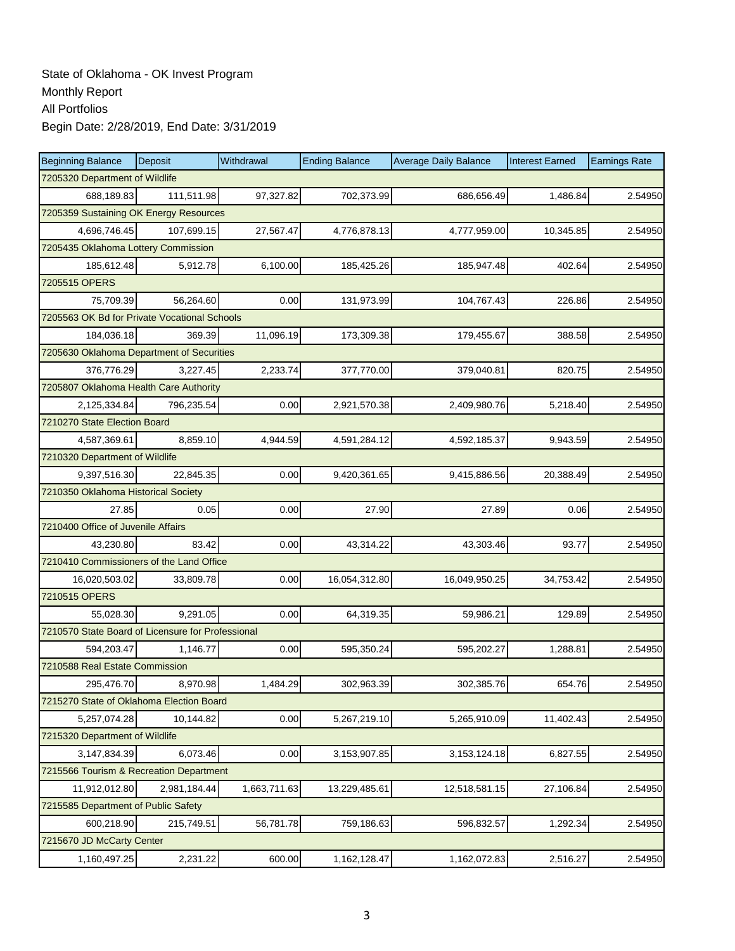| <b>Beginning Balance</b>                          | Deposit                        | Withdrawal   | <b>Ending Balance</b> | <b>Average Daily Balance</b> | <b>Interest Earned</b> | <b>Earnings Rate</b> |  |  |  |
|---------------------------------------------------|--------------------------------|--------------|-----------------------|------------------------------|------------------------|----------------------|--|--|--|
|                                                   | 7205320 Department of Wildlife |              |                       |                              |                        |                      |  |  |  |
| 688,189.83                                        | 111,511.98                     | 97,327.82    | 702,373.99            | 686,656.49                   | 1,486.84               | 2.54950              |  |  |  |
| 7205359 Sustaining OK Energy Resources            |                                |              |                       |                              |                        |                      |  |  |  |
| 4,696,746.45                                      | 107,699.15                     | 27,567.47    | 4,776,878.13          | 4,777,959.00                 | 10,345.85              | 2.54950              |  |  |  |
| 7205435 Oklahoma Lottery Commission               |                                |              |                       |                              |                        |                      |  |  |  |
| 185,612.48                                        | 5,912.78                       | 6,100.00     | 185,425.26            | 185,947.48                   | 402.64                 | 2.54950              |  |  |  |
| 7205515 OPERS                                     |                                |              |                       |                              |                        |                      |  |  |  |
| 75,709.39                                         | 56,264.60                      | 0.00         | 131,973.99            | 104,767.43                   | 226.86                 | 2.54950              |  |  |  |
| 7205563 OK Bd for Private Vocational Schools      |                                |              |                       |                              |                        |                      |  |  |  |
| 184,036.18                                        | 369.39                         | 11,096.19    | 173,309.38            | 179,455.67                   | 388.58                 | 2.54950              |  |  |  |
| 7205630 Oklahoma Department of Securities         |                                |              |                       |                              |                        |                      |  |  |  |
| 376,776.29                                        | 3,227.45                       | 2,233.74     | 377,770.00            | 379,040.81                   | 820.75                 | 2.54950              |  |  |  |
| 7205807 Oklahoma Health Care Authority            |                                |              |                       |                              |                        |                      |  |  |  |
| 2,125,334.84                                      | 796,235.54                     | 0.00         | 2,921,570.38          | 2,409,980.76                 | 5,218.40               | 2.54950              |  |  |  |
| 7210270 State Election Board                      |                                |              |                       |                              |                        |                      |  |  |  |
| 4,587,369.61                                      | 8,859.10                       | 4,944.59     | 4,591,284.12          | 4,592,185.37                 | 9,943.59               | 2.54950              |  |  |  |
| 7210320 Department of Wildlife                    |                                |              |                       |                              |                        |                      |  |  |  |
| 9,397,516.30                                      | 22,845.35                      | 0.00         | 9,420,361.65          | 9,415,886.56                 | 20,388.49              | 2.54950              |  |  |  |
| 7210350 Oklahoma Historical Society               |                                |              |                       |                              |                        |                      |  |  |  |
| 27.85                                             | 0.05                           | 0.00         | 27.90                 | 27.89                        | 0.06                   | 2.54950              |  |  |  |
| 7210400 Office of Juvenile Affairs                |                                |              |                       |                              |                        |                      |  |  |  |
| 43,230.80                                         | 83.42                          | 0.00         | 43,314.22             | 43,303.46                    | 93.77                  | 2.54950              |  |  |  |
| 7210410 Commissioners of the Land Office          |                                |              |                       |                              |                        |                      |  |  |  |
| 16,020,503.02                                     | 33,809.78                      | 0.00         | 16,054,312.80         | 16,049,950.25                | 34,753.42              | 2.54950              |  |  |  |
| 7210515 OPERS                                     |                                |              |                       |                              |                        |                      |  |  |  |
| 55,028.30                                         | 9,291.05                       | 0.00         | 64,319.35             | 59,986.21                    | 129.89                 | 2.54950              |  |  |  |
| 7210570 State Board of Licensure for Professional |                                |              |                       |                              |                        |                      |  |  |  |
| 594,203.47                                        | 1,146.77                       | 0.00         | 595,350.24            | 595,202.27                   | 1,288.81               | 2.54950              |  |  |  |
| 7210588 Real Estate Commission                    |                                |              |                       |                              |                        |                      |  |  |  |
| 295,476.70                                        | 8,970.98                       | 1,484.29     | 302,963.39            | 302,385.76                   | 654.76                 | 2.54950              |  |  |  |
| 7215270 State of Oklahoma Election Board          |                                |              |                       |                              |                        |                      |  |  |  |
| 5,257,074.28                                      | 10,144.82                      | 0.00         | 5,267,219.10          | 5,265,910.09                 | 11,402.43              | 2.54950              |  |  |  |
| 7215320 Department of Wildlife                    |                                |              |                       |                              |                        |                      |  |  |  |
| 3,147,834.39                                      | 6,073.46                       | 0.00         | 3,153,907.85          | 3, 153, 124. 18              | 6,827.55               | 2.54950              |  |  |  |
| 7215566 Tourism & Recreation Department           |                                |              |                       |                              |                        |                      |  |  |  |
| 11,912,012.80                                     | 2,981,184.44                   | 1,663,711.63 | 13,229,485.61         | 12,518,581.15                | 27,106.84              | 2.54950              |  |  |  |
| 7215585 Department of Public Safety               |                                |              |                       |                              |                        |                      |  |  |  |
| 600,218.90                                        | 215,749.51                     | 56,781.78    | 759,186.63            | 596,832.57                   | 1,292.34               | 2.54950              |  |  |  |
| 7215670 JD McCarty Center                         |                                |              |                       |                              |                        |                      |  |  |  |
| 1,160,497.25                                      | 2,231.22                       | 600.00       | 1,162,128.47          | 1,162,072.83                 | 2,516.27               | 2.54950              |  |  |  |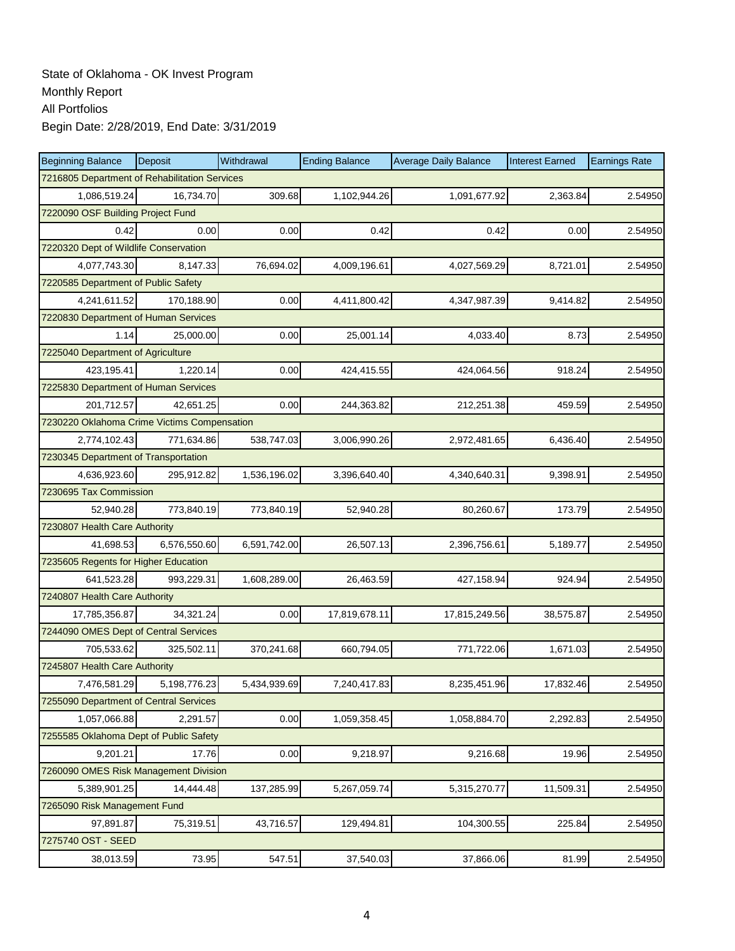| <b>Beginning Balance</b>                    | Deposit                                       | Withdrawal   | <b>Ending Balance</b> | <b>Average Daily Balance</b> | <b>Interest Earned</b> | <b>Earnings Rate</b> |  |  |  |  |
|---------------------------------------------|-----------------------------------------------|--------------|-----------------------|------------------------------|------------------------|----------------------|--|--|--|--|
|                                             | 7216805 Department of Rehabilitation Services |              |                       |                              |                        |                      |  |  |  |  |
| 1,086,519.24                                | 16,734.70                                     | 309.68       | 1,102,944.26          | 1,091,677.92                 | 2,363.84               | 2.54950              |  |  |  |  |
| 7220090 OSF Building Project Fund           |                                               |              |                       |                              |                        |                      |  |  |  |  |
| 0.42                                        | 0.00                                          | 0.00         | 0.42                  | 0.42                         | 0.00                   | 2.54950              |  |  |  |  |
| 7220320 Dept of Wildlife Conservation       |                                               |              |                       |                              |                        |                      |  |  |  |  |
| 4,077,743.30                                | 8,147.33                                      | 76,694.02    | 4,009,196.61          | 4,027,569.29                 | 8,721.01               | 2.54950              |  |  |  |  |
| 7220585 Department of Public Safety         |                                               |              |                       |                              |                        |                      |  |  |  |  |
| 4,241,611.52                                | 170,188.90                                    | 0.00         | 4,411,800.42          | 4,347,987.39                 | 9,414.82               | 2.54950              |  |  |  |  |
| 7220830 Department of Human Services        |                                               |              |                       |                              |                        |                      |  |  |  |  |
| 1.14                                        | 25,000.00                                     | 0.00         | 25,001.14             | 4,033.40                     | 8.73                   | 2.54950              |  |  |  |  |
| 7225040 Department of Agriculture           |                                               |              |                       |                              |                        |                      |  |  |  |  |
| 423,195.41                                  | 1,220.14                                      | 0.00         | 424,415.55            | 424,064.56                   | 918.24                 | 2.54950              |  |  |  |  |
| 7225830 Department of Human Services        |                                               |              |                       |                              |                        |                      |  |  |  |  |
| 201,712.57                                  | 42.651.25                                     | 0.00         | 244,363.82            | 212,251.38                   | 459.59                 | 2.54950              |  |  |  |  |
| 7230220 Oklahoma Crime Victims Compensation |                                               |              |                       |                              |                        |                      |  |  |  |  |
| 2,774,102.43                                | 771,634.86                                    | 538,747.03   | 3,006,990.26          | 2,972,481.65                 | 6,436.40               | 2.54950              |  |  |  |  |
| 7230345 Department of Transportation        |                                               |              |                       |                              |                        |                      |  |  |  |  |
| 4,636,923.60                                | 295,912.82                                    | 1,536,196.02 | 3,396,640.40          | 4,340,640.31                 | 9,398.91               | 2.54950              |  |  |  |  |
| 7230695 Tax Commission                      |                                               |              |                       |                              |                        |                      |  |  |  |  |
| 52,940.28                                   | 773,840.19                                    | 773,840.19   | 52,940.28             | 80,260.67                    | 173.79                 | 2.54950              |  |  |  |  |
| 7230807 Health Care Authority               |                                               |              |                       |                              |                        |                      |  |  |  |  |
| 41,698.53                                   | 6,576,550.60                                  | 6,591,742.00 | 26,507.13             | 2,396,756.61                 | 5,189.77               | 2.54950              |  |  |  |  |
| 7235605 Regents for Higher Education        |                                               |              |                       |                              |                        |                      |  |  |  |  |
| 641,523.28                                  | 993,229.31                                    | 1,608,289.00 | 26,463.59             | 427,158.94                   | 924.94                 | 2.54950              |  |  |  |  |
| 7240807 Health Care Authority               |                                               |              |                       |                              |                        |                      |  |  |  |  |
| 17,785,356.87                               | 34,321.24                                     | 0.00         | 17,819,678.11         | 17,815,249.56                | 38,575.87              | 2.54950              |  |  |  |  |
| 7244090 OMES Dept of Central Services       |                                               |              |                       |                              |                        |                      |  |  |  |  |
| 705,533.62                                  | 325,502.11                                    | 370,241.68   | 660,794.05            | 771,722.06                   | 1,671.03               | 2.54950              |  |  |  |  |
| 7245807 Health Care Authority               |                                               |              |                       |                              |                        |                      |  |  |  |  |
| 7,476,581.29                                | 5,198,776.23                                  | 5,434,939.69 | 7,240,417.83          | 8,235,451.96                 | 17,832.46              | 2.54950              |  |  |  |  |
| 7255090 Department of Central Services      |                                               |              |                       |                              |                        |                      |  |  |  |  |
| 1,057,066.88                                | 2,291.57                                      | 0.00         | 1,059,358.45          | 1,058,884.70                 | 2,292.83               | 2.54950              |  |  |  |  |
| 7255585 Oklahoma Dept of Public Safety      |                                               |              |                       |                              |                        |                      |  |  |  |  |
| 9,201.21                                    | 17.76                                         | 0.00         | 9,218.97              | 9,216.68                     | 19.96                  | 2.54950              |  |  |  |  |
| 7260090 OMES Risk Management Division       |                                               |              |                       |                              |                        |                      |  |  |  |  |
| 5,389,901.25                                | 14,444.48                                     | 137,285.99   | 5,267,059.74          | 5,315,270.77                 | 11,509.31              | 2.54950              |  |  |  |  |
| 7265090 Risk Management Fund                |                                               |              |                       |                              |                        |                      |  |  |  |  |
| 97,891.87                                   | 75,319.51                                     | 43,716.57    | 129,494.81            | 104,300.55                   | 225.84                 | 2.54950              |  |  |  |  |
| 7275740 OST - SEED                          |                                               |              |                       |                              |                        |                      |  |  |  |  |
| 38,013.59                                   | 73.95                                         | 547.51       | 37,540.03             | 37,866.06                    | 81.99                  | 2.54950              |  |  |  |  |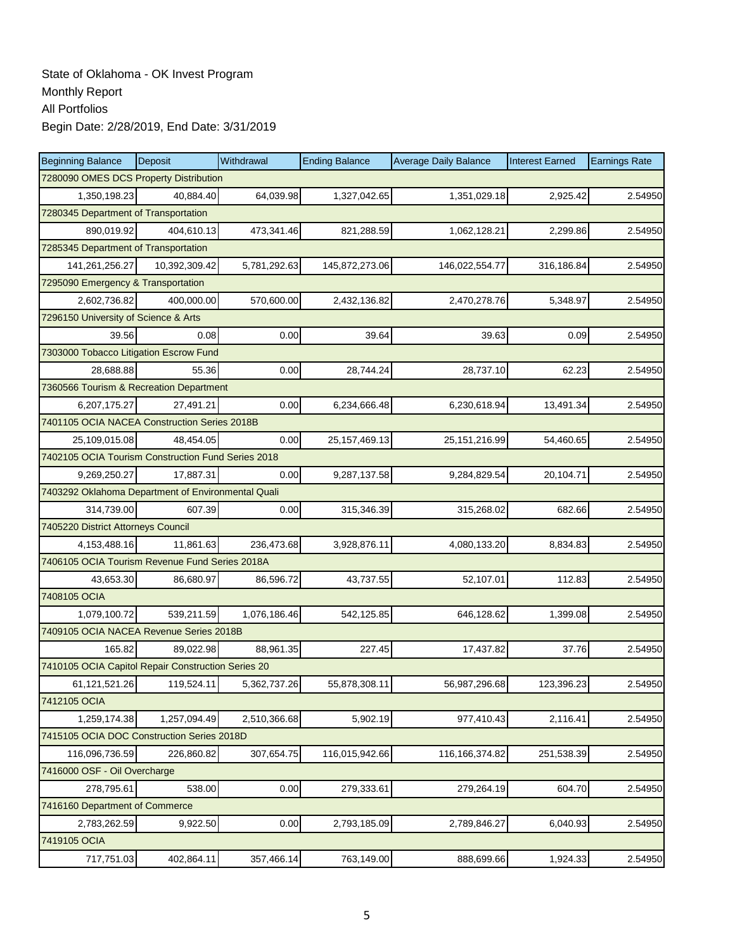| <b>Beginning Balance</b>                           | <b>Deposit</b> | Withdrawal   | <b>Ending Balance</b> | <b>Average Daily Balance</b> | <b>Interest Earned</b> | <b>Earnings Rate</b> |  |  |  |
|----------------------------------------------------|----------------|--------------|-----------------------|------------------------------|------------------------|----------------------|--|--|--|
| 7280090 OMES DCS Property Distribution             |                |              |                       |                              |                        |                      |  |  |  |
| 1,350,198.23                                       | 40,884.40      | 64,039.98    | 1,327,042.65          | 1,351,029.18                 | 2,925.42               | 2.54950              |  |  |  |
| 7280345 Department of Transportation               |                |              |                       |                              |                        |                      |  |  |  |
| 890,019.92                                         | 404,610.13     | 473,341.46   | 821,288.59            | 1,062,128.21                 | 2,299.86               | 2.54950              |  |  |  |
| 7285345 Department of Transportation               |                |              |                       |                              |                        |                      |  |  |  |
| 141,261,256.27                                     | 10,392,309.42  | 5,781,292.63 | 145,872,273.06        | 146,022,554.77               | 316,186.84             | 2.54950              |  |  |  |
| 7295090 Emergency & Transportation                 |                |              |                       |                              |                        |                      |  |  |  |
| 2,602,736.82                                       | 400.000.00     | 570,600.00   | 2,432,136.82          | 2,470,278.76                 | 5,348.97               | 2.54950              |  |  |  |
| 7296150 University of Science & Arts               |                |              |                       |                              |                        |                      |  |  |  |
| 39.56                                              | 0.08           | 0.00         | 39.64                 | 39.63                        | 0.09                   | 2.54950              |  |  |  |
| 7303000 Tobacco Litigation Escrow Fund             |                |              |                       |                              |                        |                      |  |  |  |
| 28,688.88                                          | 55.36          | 0.00         | 28,744.24             | 28,737.10                    | 62.23                  | 2.54950              |  |  |  |
| 7360566 Tourism & Recreation Department            |                |              |                       |                              |                        |                      |  |  |  |
| 6,207,175.27                                       | 27,491.21      | 0.00         | 6,234,666.48          | 6,230,618.94                 | 13,491.34              | 2.54950              |  |  |  |
| 7401105 OCIA NACEA Construction Series 2018B       |                |              |                       |                              |                        |                      |  |  |  |
| 25,109,015.08                                      | 48,454.05      | 0.00         | 25, 157, 469. 13      | 25, 151, 216.99              | 54,460.65              | 2.54950              |  |  |  |
| 7402105 OCIA Tourism Construction Fund Series 2018 |                |              |                       |                              |                        |                      |  |  |  |
| 9,269,250.27                                       | 17,887.31      | 0.00         | 9,287,137.58          | 9,284,829.54                 | 20,104.71              | 2.54950              |  |  |  |
| 7403292 Oklahoma Department of Environmental Quali |                |              |                       |                              |                        |                      |  |  |  |
| 314,739.00                                         | 607.39         | 0.00         | 315,346.39            | 315,268.02                   | 682.66                 | 2.54950              |  |  |  |
| 7405220 District Attorneys Council                 |                |              |                       |                              |                        |                      |  |  |  |
| 4,153,488.16                                       | 11,861.63      | 236,473.68   | 3,928,876.11          | 4,080,133.20                 | 8,834.83               | 2.54950              |  |  |  |
| 7406105 OCIA Tourism Revenue Fund Series 2018A     |                |              |                       |                              |                        |                      |  |  |  |
| 43,653.30                                          | 86,680.97      | 86,596.72    | 43,737.55             | 52,107.01                    | 112.83                 | 2.54950              |  |  |  |
| 7408105 OCIA                                       |                |              |                       |                              |                        |                      |  |  |  |
| 1,079,100.72                                       | 539,211.59     | 1,076,186.46 | 542,125.85            | 646,128.62                   | 1,399.08               | 2.54950              |  |  |  |
| 7409105 OCIA NACEA Revenue Series 2018B            |                |              |                       |                              |                        |                      |  |  |  |
| 165.82                                             | 89,022.98      | 88,961.35    | 227.45                | 17,437.82                    | 37.76                  | 2.54950              |  |  |  |
| 7410105 OCIA Capitol Repair Construction Series 20 |                |              |                       |                              |                        |                      |  |  |  |
| 61,121,521.26                                      | 119,524.11     | 5,362,737.26 | 55,878,308.11         | 56,987,296.68                | 123,396.23             | 2.54950              |  |  |  |
| 7412105 OCIA                                       |                |              |                       |                              |                        |                      |  |  |  |
| 1,259,174.38                                       | 1,257,094.49   | 2,510,366.68 | 5,902.19              | 977,410.43                   | 2,116.41               | 2.54950              |  |  |  |
| 7415105 OCIA DOC Construction Series 2018D         |                |              |                       |                              |                        |                      |  |  |  |
| 116,096,736.59                                     | 226,860.82     | 307,654.75   | 116,015,942.66        | 116,166,374.82               | 251,538.39             | 2.54950              |  |  |  |
| 7416000 OSF - Oil Overcharge                       |                |              |                       |                              |                        |                      |  |  |  |
| 278,795.61                                         | 538.00         | 0.00         | 279,333.61            | 279,264.19                   | 604.70                 | 2.54950              |  |  |  |
| 7416160 Department of Commerce                     |                |              |                       |                              |                        |                      |  |  |  |
| 2,783,262.59                                       | 9,922.50       | 0.00         | 2,793,185.09          | 2,789,846.27                 | 6,040.93               | 2.54950              |  |  |  |
| 7419105 OCIA                                       |                |              |                       |                              |                        |                      |  |  |  |
| 717,751.03                                         | 402,864.11     | 357,466.14   | 763,149.00            | 888,699.66                   | 1,924.33               | 2.54950              |  |  |  |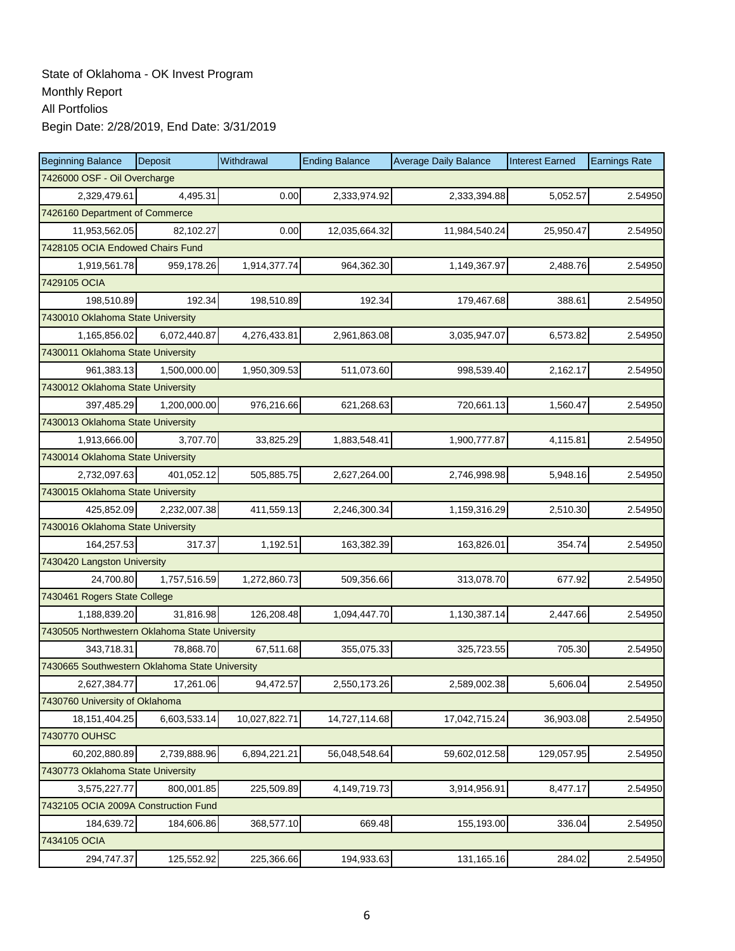| <b>Beginning Balance</b>                       | Deposit                        | Withdrawal    | <b>Ending Balance</b> | <b>Average Daily Balance</b> | <b>Interest Earned</b> | <b>Earnings Rate</b> |  |  |  |  |
|------------------------------------------------|--------------------------------|---------------|-----------------------|------------------------------|------------------------|----------------------|--|--|--|--|
| 7426000 OSF - Oil Overcharge                   |                                |               |                       |                              |                        |                      |  |  |  |  |
| 2,329,479.61                                   | 4,495.31                       | 0.00          | 2,333,974.92          | 2,333,394.88                 | 5,052.57               | 2.54950              |  |  |  |  |
|                                                | 7426160 Department of Commerce |               |                       |                              |                        |                      |  |  |  |  |
| 11,953,562.05                                  | 82,102.27                      | 0.00          | 12,035,664.32         | 11,984,540.24                | 25,950.47              | 2.54950              |  |  |  |  |
| 7428105 OCIA Endowed Chairs Fund               |                                |               |                       |                              |                        |                      |  |  |  |  |
| 1,919,561.78                                   | 959,178.26                     | 1,914,377.74  | 964,362.30            | 1,149,367.97                 | 2,488.76               | 2.54950              |  |  |  |  |
| 7429105 OCIA                                   |                                |               |                       |                              |                        |                      |  |  |  |  |
| 198,510.89                                     | 192.34                         | 198,510.89    | 192.34                | 179,467.68                   | 388.61                 | 2.54950              |  |  |  |  |
| 7430010 Oklahoma State University              |                                |               |                       |                              |                        |                      |  |  |  |  |
| 1,165,856.02                                   | 6,072,440.87                   | 4,276,433.81  | 2,961,863.08          | 3,035,947.07                 | 6,573.82               | 2.54950              |  |  |  |  |
| 7430011 Oklahoma State University              |                                |               |                       |                              |                        |                      |  |  |  |  |
| 961,383.13                                     | 1,500,000.00                   | 1,950,309.53  | 511,073.60            | 998,539.40                   | 2,162.17               | 2.54950              |  |  |  |  |
| 7430012 Oklahoma State University              |                                |               |                       |                              |                        |                      |  |  |  |  |
| 397,485.29                                     | 1,200,000.00                   | 976,216.66    | 621,268.63            | 720,661.13                   | 1,560.47               | 2.54950              |  |  |  |  |
| 7430013 Oklahoma State University              |                                |               |                       |                              |                        |                      |  |  |  |  |
| 1,913,666.00                                   | 3,707.70                       | 33,825.29     | 1,883,548.41          | 1,900,777.87                 | 4,115.81               | 2.54950              |  |  |  |  |
| 7430014 Oklahoma State University              |                                |               |                       |                              |                        |                      |  |  |  |  |
| 2,732,097.63                                   | 401,052.12                     | 505,885.75    | 2,627,264.00          | 2,746,998.98                 | 5,948.16               | 2.54950              |  |  |  |  |
| 7430015 Oklahoma State University              |                                |               |                       |                              |                        |                      |  |  |  |  |
| 425,852.09                                     | 2,232,007.38                   | 411,559.13    | 2,246,300.34          | 1,159,316.29                 | 2,510.30               | 2.54950              |  |  |  |  |
| 7430016 Oklahoma State University              |                                |               |                       |                              |                        |                      |  |  |  |  |
| 164,257.53                                     | 317.37                         | 1,192.51      | 163,382.39            | 163,826.01                   | 354.74                 | 2.54950              |  |  |  |  |
| 7430420 Langston University                    |                                |               |                       |                              |                        |                      |  |  |  |  |
| 24,700.80                                      | 1,757,516.59                   | 1,272,860.73  | 509,356.66            | 313,078.70                   | 677.92                 | 2.54950              |  |  |  |  |
| 7430461 Rogers State College                   |                                |               |                       |                              |                        |                      |  |  |  |  |
| 1,188,839.20                                   | 31,816.98                      | 126,208.48    | 1,094,447.70          | 1,130,387.14                 | 2,447.66               | 2.54950              |  |  |  |  |
| 7430505 Northwestern Oklahoma State University |                                |               |                       |                              |                        |                      |  |  |  |  |
| 343,718.31                                     | 78,868.70                      | 67,511.68     | 355,075.33            | 325,723.55                   | 705.30                 | 2.54950              |  |  |  |  |
| 7430665 Southwestern Oklahoma State University |                                |               |                       |                              |                        |                      |  |  |  |  |
| 2,627,384.77                                   | 17,261.06                      | 94,472.57     | 2,550,173.26          | 2,589,002.38                 | 5,606.04               | 2.54950              |  |  |  |  |
| 7430760 University of Oklahoma                 |                                |               |                       |                              |                        |                      |  |  |  |  |
| 18, 151, 404. 25                               | 6,603,533.14                   | 10,027,822.71 | 14,727,114.68         | 17,042,715.24                | 36,903.08              | 2.54950              |  |  |  |  |
| 7430770 OUHSC                                  |                                |               |                       |                              |                        |                      |  |  |  |  |
| 60,202,880.89                                  | 2,739,888.96                   | 6,894,221.21  | 56,048,548.64         | 59,602,012.58                | 129,057.95             | 2.54950              |  |  |  |  |
| 7430773 Oklahoma State University              |                                |               |                       |                              |                        |                      |  |  |  |  |
| 3,575,227.77                                   | 800,001.85                     | 225,509.89    | 4,149,719.73          | 3,914,956.91                 | 8,477.17               | 2.54950              |  |  |  |  |
| 7432105 OCIA 2009A Construction Fund           |                                |               |                       |                              |                        |                      |  |  |  |  |
| 184,639.72                                     | 184,606.86                     | 368,577.10    | 669.48                | 155,193.00                   | 336.04                 | 2.54950              |  |  |  |  |
| 7434105 OCIA                                   |                                |               |                       |                              |                        |                      |  |  |  |  |
| 294,747.37                                     | 125,552.92                     | 225,366.66    | 194,933.63            | 131,165.16                   | 284.02                 | 2.54950              |  |  |  |  |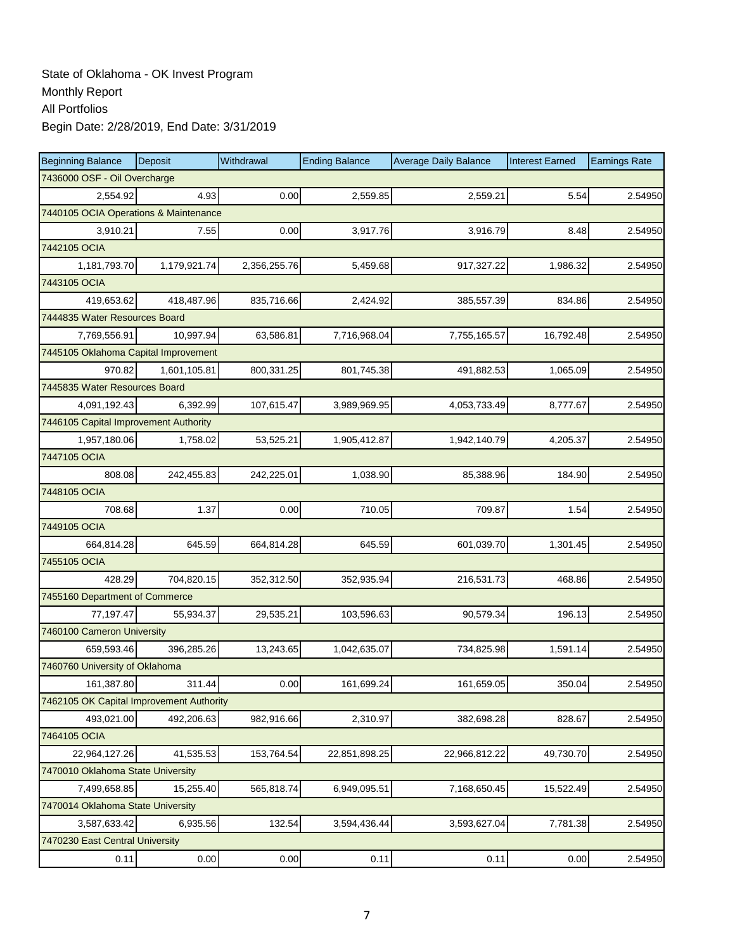| <b>Beginning Balance</b>                 | Deposit      | Withdrawal   | <b>Ending Balance</b> | <b>Average Daily Balance</b> | <b>Interest Earned</b> | <b>Earnings Rate</b> |  |  |  |
|------------------------------------------|--------------|--------------|-----------------------|------------------------------|------------------------|----------------------|--|--|--|
| 7436000 OSF - Oil Overcharge             |              |              |                       |                              |                        |                      |  |  |  |
| 2,554.92                                 | 4.93         | 0.00         | 2,559.85              | 2,559.21                     | 5.54                   | 2.54950              |  |  |  |
| 7440105 OCIA Operations & Maintenance    |              |              |                       |                              |                        |                      |  |  |  |
| 3,910.21                                 | 7.55         | 0.00         | 3,917.76              | 3,916.79                     | 8.48                   | 2.54950              |  |  |  |
| 7442105 OCIA                             |              |              |                       |                              |                        |                      |  |  |  |
| 1,181,793.70                             | 1,179,921.74 | 2,356,255.76 | 5,459.68              | 917,327.22                   | 1,986.32               | 2.54950              |  |  |  |
| 7443105 OCIA                             |              |              |                       |                              |                        |                      |  |  |  |
| 419,653.62                               | 418,487.96   | 835,716.66   | 2,424.92              | 385,557.39                   | 834.86                 | 2.54950              |  |  |  |
| 7444835 Water Resources Board            |              |              |                       |                              |                        |                      |  |  |  |
| 7,769,556.91                             | 10,997.94    | 63,586.81    | 7,716,968.04          | 7,755,165.57                 | 16,792.48              | 2.54950              |  |  |  |
| 7445105 Oklahoma Capital Improvement     |              |              |                       |                              |                        |                      |  |  |  |
| 970.82                                   | 1,601,105.81 | 800,331.25   | 801,745.38            | 491,882.53                   | 1,065.09               | 2.54950              |  |  |  |
| 7445835 Water Resources Board            |              |              |                       |                              |                        |                      |  |  |  |
| 4.091.192.43                             | 6,392.99     | 107,615.47   | 3,989,969.95          | 4,053,733.49                 | 8,777.67               | 2.54950              |  |  |  |
| 7446105 Capital Improvement Authority    |              |              |                       |                              |                        |                      |  |  |  |
| 1,957,180.06                             | 1,758.02     | 53,525.21    | 1,905,412.87          | 1,942,140.79                 | 4,205.37               | 2.54950              |  |  |  |
| 7447105 OCIA                             |              |              |                       |                              |                        |                      |  |  |  |
| 808.08                                   | 242,455.83   | 242,225.01   | 1,038.90              | 85,388.96                    | 184.90                 | 2.54950              |  |  |  |
| 7448105 OCIA                             |              |              |                       |                              |                        |                      |  |  |  |
| 708.68                                   | 1.37         | 0.00         | 710.05                | 709.87                       | 1.54                   | 2.54950              |  |  |  |
| 7449105 OCIA                             |              |              |                       |                              |                        |                      |  |  |  |
| 664,814.28                               | 645.59       | 664,814.28   | 645.59                | 601,039.70                   | 1,301.45               | 2.54950              |  |  |  |
| 7455105 OCIA                             |              |              |                       |                              |                        |                      |  |  |  |
| 428.29                                   | 704,820.15   | 352,312.50   | 352,935.94            | 216,531.73                   | 468.86                 | 2.54950              |  |  |  |
| 7455160 Department of Commerce           |              |              |                       |                              |                        |                      |  |  |  |
| 77,197.47                                | 55,934.37    | 29,535.21    | 103,596.63            | 90,579.34                    | 196.13                 | 2.54950              |  |  |  |
| 7460100 Cameron University               |              |              |                       |                              |                        |                      |  |  |  |
| 659,593.46                               | 396,285.26   | 13,243.65    | 1,042,635.07          | 734,825.98                   | 1,591.14               | 2.54950              |  |  |  |
| 7460760 University of Oklahoma           |              |              |                       |                              |                        |                      |  |  |  |
| 161,387.80                               | 311.44       | 0.00         | 161.699.24            | 161,659.05                   | 350.04                 | 2.54950              |  |  |  |
| 7462105 OK Capital Improvement Authority |              |              |                       |                              |                        |                      |  |  |  |
| 493,021.00                               | 492,206.63   | 982,916.66   | 2,310.97              | 382,698.28                   | 828.67                 | 2.54950              |  |  |  |
| 7464105 OCIA                             |              |              |                       |                              |                        |                      |  |  |  |
| 22,964,127.26                            | 41,535.53    | 153,764.54   | 22,851,898.25         | 22,966,812.22                | 49,730.70              | 2.54950              |  |  |  |
| 7470010 Oklahoma State University        |              |              |                       |                              |                        |                      |  |  |  |
| 7,499,658.85                             | 15,255.40    | 565,818.74   | 6,949,095.51          | 7,168,650.45                 | 15,522.49              | 2.54950              |  |  |  |
| 7470014 Oklahoma State University        |              |              |                       |                              |                        |                      |  |  |  |
| 3,587,633.42                             | 6,935.56     | 132.54       | 3,594,436.44          | 3,593,627.04                 | 7,781.38               | 2.54950              |  |  |  |
| 7470230 East Central University          |              |              |                       |                              |                        |                      |  |  |  |
| 0.11                                     | 0.00         | 0.00         | 0.11                  | 0.11                         | 0.00                   | 2.54950              |  |  |  |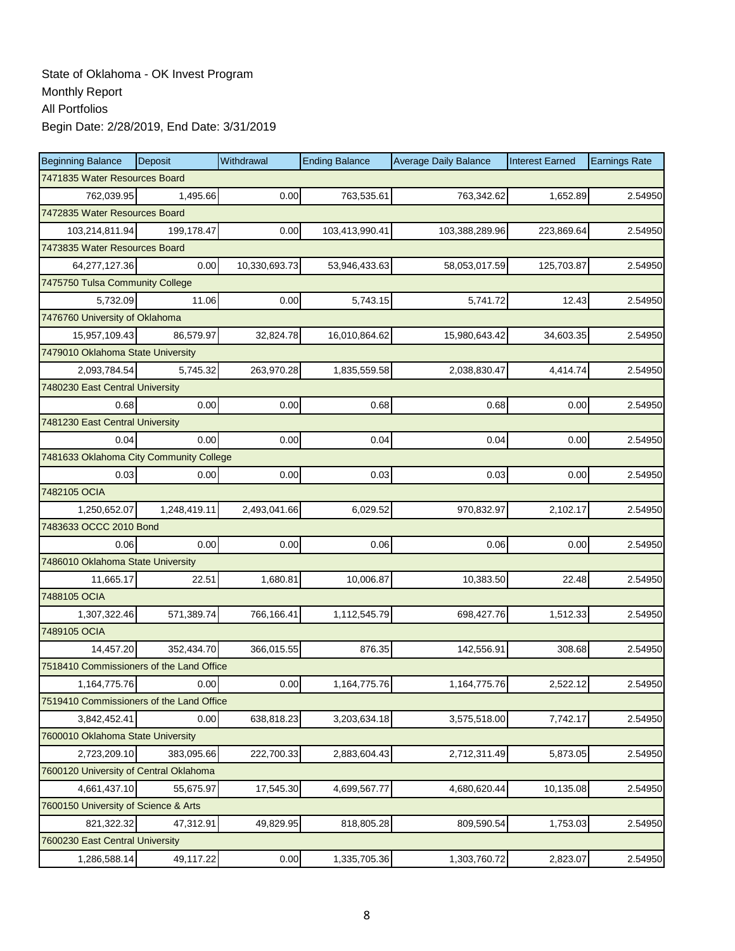| <b>Beginning Balance</b>                 | Deposit      | Withdrawal    | <b>Ending Balance</b> | <b>Average Daily Balance</b> | <b>Interest Earned</b> | <b>Earnings Rate</b> |  |  |  |
|------------------------------------------|--------------|---------------|-----------------------|------------------------------|------------------------|----------------------|--|--|--|
| 7471835 Water Resources Board            |              |               |                       |                              |                        |                      |  |  |  |
| 762,039.95                               | 1,495.66     | 0.00          | 763,535.61            | 763,342.62                   | 1,652.89               | 2.54950              |  |  |  |
| 7472835 Water Resources Board            |              |               |                       |                              |                        |                      |  |  |  |
| 103,214,811.94                           | 199,178.47   | 0.00          | 103,413,990.41        | 103,388,289.96               | 223,869.64             | 2.54950              |  |  |  |
| 7473835 Water Resources Board            |              |               |                       |                              |                        |                      |  |  |  |
| 64,277,127.36                            | 0.00         | 10,330,693.73 | 53,946,433.63         | 58,053,017.59                | 125,703.87             | 2.54950              |  |  |  |
| 7475750 Tulsa Community College          |              |               |                       |                              |                        |                      |  |  |  |
| 5,732.09                                 | 11.06        | 0.00          | 5,743.15              | 5,741.72                     | 12.43                  | 2.54950              |  |  |  |
| 7476760 University of Oklahoma           |              |               |                       |                              |                        |                      |  |  |  |
| 15,957,109.43                            | 86,579.97    | 32,824.78     | 16,010,864.62         | 15,980,643.42                | 34,603.35              | 2.54950              |  |  |  |
| 7479010 Oklahoma State University        |              |               |                       |                              |                        |                      |  |  |  |
| 2,093,784.54                             | 5,745.32     | 263,970.28    | 1,835,559.58          | 2,038,830.47                 | 4,414.74               | 2.54950              |  |  |  |
| 7480230 East Central University          |              |               |                       |                              |                        |                      |  |  |  |
| 0.68                                     | 0.00         | 0.00          | 0.68                  | 0.68                         | 0.00                   | 2.54950              |  |  |  |
| 7481230 East Central University          |              |               |                       |                              |                        |                      |  |  |  |
| 0.04                                     | 0.00         | 0.00          | 0.04                  | 0.04                         | 0.00                   | 2.54950              |  |  |  |
| 7481633 Oklahoma City Community College  |              |               |                       |                              |                        |                      |  |  |  |
| 0.03                                     | 0.00         | 0.00          | 0.03                  | 0.03                         | 0.00                   | 2.54950              |  |  |  |
| 7482105 OCIA                             |              |               |                       |                              |                        |                      |  |  |  |
| 1,250,652.07                             | 1,248,419.11 | 2,493,041.66  | 6,029.52              | 970,832.97                   | 2,102.17               | 2.54950              |  |  |  |
| 7483633 OCCC 2010 Bond                   |              |               |                       |                              |                        |                      |  |  |  |
| 0.06                                     | 0.00         | 0.00          | 0.06                  | 0.06                         | 0.00                   | 2.54950              |  |  |  |
| 7486010 Oklahoma State University        |              |               |                       |                              |                        |                      |  |  |  |
| 11,665.17                                | 22.51        | 1,680.81      | 10,006.87             | 10,383.50                    | 22.48                  | 2.54950              |  |  |  |
| 7488105 OCIA                             |              |               |                       |                              |                        |                      |  |  |  |
| 1,307,322.46                             | 571,389.74   | 766,166.41    | 1,112,545.79          | 698,427.76                   | 1,512.33               | 2.54950              |  |  |  |
| 7489105 OCIA                             |              |               |                       |                              |                        |                      |  |  |  |
| 14,457.20                                | 352,434.70   | 366,015.55    | 876.35                | 142,556.91                   | 308.68                 | 2.54950              |  |  |  |
| 7518410 Commissioners of the Land Office |              |               |                       |                              |                        |                      |  |  |  |
| 1,164,775.76                             | 0.00         | 0.00          | 1,164,775.76          | 1,164,775.76                 | 2,522.12               | 2.54950              |  |  |  |
| 7519410 Commissioners of the Land Office |              |               |                       |                              |                        |                      |  |  |  |
| 3,842,452.41                             | 0.00         | 638,818.23    | 3,203,634.18          | 3,575,518.00                 | 7,742.17               | 2.54950              |  |  |  |
| 7600010 Oklahoma State University        |              |               |                       |                              |                        |                      |  |  |  |
| 2,723,209.10                             | 383,095.66   | 222,700.33    | 2,883,604.43          | 2,712,311.49                 | 5,873.05               | 2.54950              |  |  |  |
| 7600120 University of Central Oklahoma   |              |               |                       |                              |                        |                      |  |  |  |
| 4,661,437.10                             | 55,675.97    | 17,545.30     | 4,699,567.77          | 4,680,620.44                 | 10,135.08              | 2.54950              |  |  |  |
| 7600150 University of Science & Arts     |              |               |                       |                              |                        |                      |  |  |  |
| 821,322.32                               | 47,312.91    | 49,829.95     | 818,805.28            | 809,590.54                   | 1,753.03               | 2.54950              |  |  |  |
| 7600230 East Central University          |              |               |                       |                              |                        |                      |  |  |  |
| 1,286,588.14                             | 49,117.22    | 0.00          | 1,335,705.36          | 1,303,760.72                 | 2,823.07               | 2.54950              |  |  |  |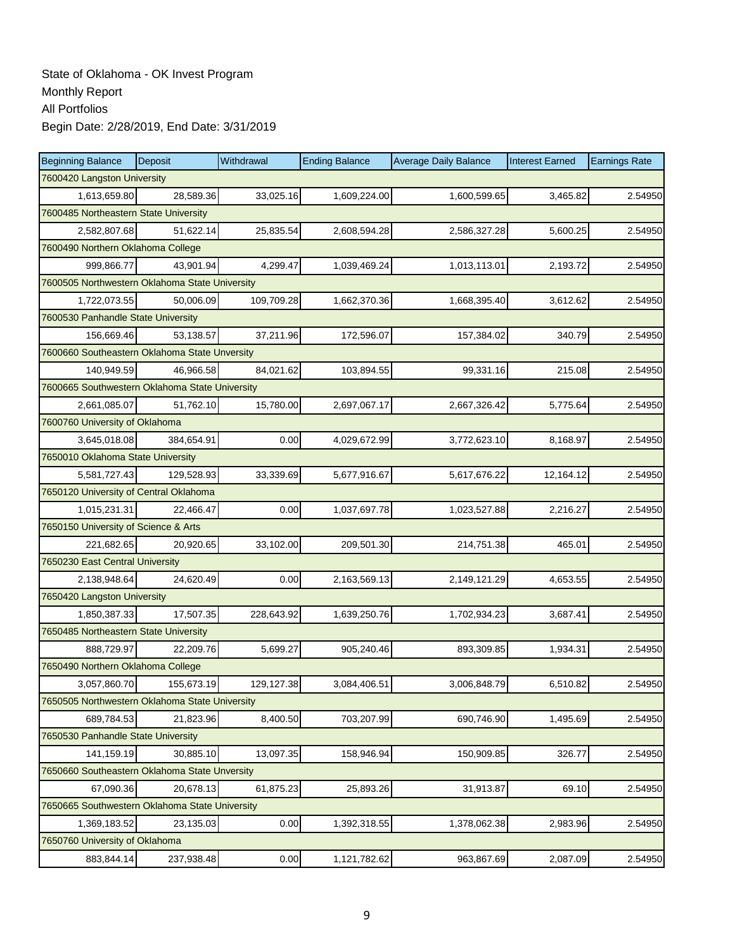| <b>Beginning Balance</b>                       | Deposit                               | Withdrawal | <b>Ending Balance</b> | <b>Average Daily Balance</b> | <b>Interest Earned</b> | <b>Earnings Rate</b> |  |  |  |  |
|------------------------------------------------|---------------------------------------|------------|-----------------------|------------------------------|------------------------|----------------------|--|--|--|--|
| 7600420 Langston University                    |                                       |            |                       |                              |                        |                      |  |  |  |  |
| 1,613,659.80                                   | 28,589.36                             | 33,025.16  | 1,609,224.00          | 1,600,599.65                 | 3,465.82               | 2.54950              |  |  |  |  |
|                                                | 7600485 Northeastern State University |            |                       |                              |                        |                      |  |  |  |  |
| 2,582,807.68                                   | 51,622.14                             | 25,835.54  | 2,608,594.28          | 2,586,327.28                 | 5,600.25               | 2.54950              |  |  |  |  |
| 7600490 Northern Oklahoma College              |                                       |            |                       |                              |                        |                      |  |  |  |  |
| 999,866.77                                     | 43,901.94                             | 4,299.47   | 1,039,469.24          | 1,013,113.01                 | 2,193.72               | 2.54950              |  |  |  |  |
| 7600505 Northwestern Oklahoma State University |                                       |            |                       |                              |                        |                      |  |  |  |  |
| 1,722,073.55                                   | 50,006.09                             | 109,709.28 | 1,662,370.36          | 1,668,395.40                 | 3,612.62               | 2.54950              |  |  |  |  |
| 7600530 Panhandle State University             |                                       |            |                       |                              |                        |                      |  |  |  |  |
| 156,669.46                                     | 53,138.57                             | 37,211.96  | 172,596.07            | 157,384.02                   | 340.79                 | 2.54950              |  |  |  |  |
| 7600660 Southeastern Oklahoma State Unversity  |                                       |            |                       |                              |                        |                      |  |  |  |  |
| 140,949.59                                     | 46,966.58                             | 84,021.62  | 103,894.55            | 99,331.16                    | 215.08                 | 2.54950              |  |  |  |  |
| 7600665 Southwestern Oklahoma State University |                                       |            |                       |                              |                        |                      |  |  |  |  |
| 2,661,085.07                                   | 51,762.10                             | 15,780.00  | 2,697,067.17          | 2,667,326.42                 | 5,775.64               | 2.54950              |  |  |  |  |
| 7600760 University of Oklahoma                 |                                       |            |                       |                              |                        |                      |  |  |  |  |
| 3,645,018.08                                   | 384,654.91                            | 0.00       | 4,029,672.99          | 3,772,623.10                 | 8,168.97               | 2.54950              |  |  |  |  |
| 7650010 Oklahoma State University              |                                       |            |                       |                              |                        |                      |  |  |  |  |
| 5,581,727.43                                   | 129,528.93                            | 33,339.69  | 5,677,916.67          | 5,617,676.22                 | 12,164.12              | 2.54950              |  |  |  |  |
| 7650120 University of Central Oklahoma         |                                       |            |                       |                              |                        |                      |  |  |  |  |
| 1,015,231.31                                   | 22,466.47                             | 0.00       | 1,037,697.78          | 1,023,527.88                 | 2,216.27               | 2.54950              |  |  |  |  |
| 7650150 University of Science & Arts           |                                       |            |                       |                              |                        |                      |  |  |  |  |
| 221,682.65                                     | 20,920.65                             | 33,102.00  | 209,501.30            | 214,751.38                   | 465.01                 | 2.54950              |  |  |  |  |
| 7650230 East Central University                |                                       |            |                       |                              |                        |                      |  |  |  |  |
| 2,138,948.64                                   | 24,620.49                             | 0.00       | 2,163,569.13          | 2,149,121.29                 | 4,653.55               | 2.54950              |  |  |  |  |
| 7650420 Langston University                    |                                       |            |                       |                              |                        |                      |  |  |  |  |
| 1,850,387.33                                   | 17,507.35                             | 228,643.92 | 1,639,250.76          | 1,702,934.23                 | 3,687.41               | 2.54950              |  |  |  |  |
| 7650485 Northeastern State University          |                                       |            |                       |                              |                        |                      |  |  |  |  |
| 888,729.97                                     | 22,209.76                             | 5,699.27   | 905,240.46            | 893,309.85                   | 1,934.31               | 2.54950              |  |  |  |  |
| 7650490 Northern Oklahoma College              |                                       |            |                       |                              |                        |                      |  |  |  |  |
| 3,057,860.70                                   | 155,673.19                            | 129,127.38 | 3,084,406.51          | 3,006,848.79                 | 6,510.82               | 2.54950              |  |  |  |  |
| 7650505 Northwestern Oklahoma State University |                                       |            |                       |                              |                        |                      |  |  |  |  |
| 689,784.53                                     | 21,823.96                             | 8,400.50   | 703,207.99            | 690,746.90                   | 1,495.69               | 2.54950              |  |  |  |  |
| 7650530 Panhandle State University             |                                       |            |                       |                              |                        |                      |  |  |  |  |
| 141,159.19                                     | 30,885.10                             | 13,097.35  | 158,946.94            | 150,909.85                   | 326.77                 | 2.54950              |  |  |  |  |
| 7650660 Southeastern Oklahoma State Unversity  |                                       |            |                       |                              |                        |                      |  |  |  |  |
| 67,090.36                                      | 20,678.13                             | 61,875.23  | 25,893.26             | 31,913.87                    | 69.10                  | 2.54950              |  |  |  |  |
| 7650665 Southwestern Oklahoma State University |                                       |            |                       |                              |                        |                      |  |  |  |  |
| 1,369,183.52                                   | 23,135.03                             | 0.00       | 1,392,318.55          | 1,378,062.38                 | 2,983.96               | 2.54950              |  |  |  |  |
| 7650760 University of Oklahoma                 |                                       |            |                       |                              |                        |                      |  |  |  |  |
| 883,844.14                                     | 237,938.48                            | 0.00       | 1,121,782.62          | 963,867.69                   | 2,087.09               | 2.54950              |  |  |  |  |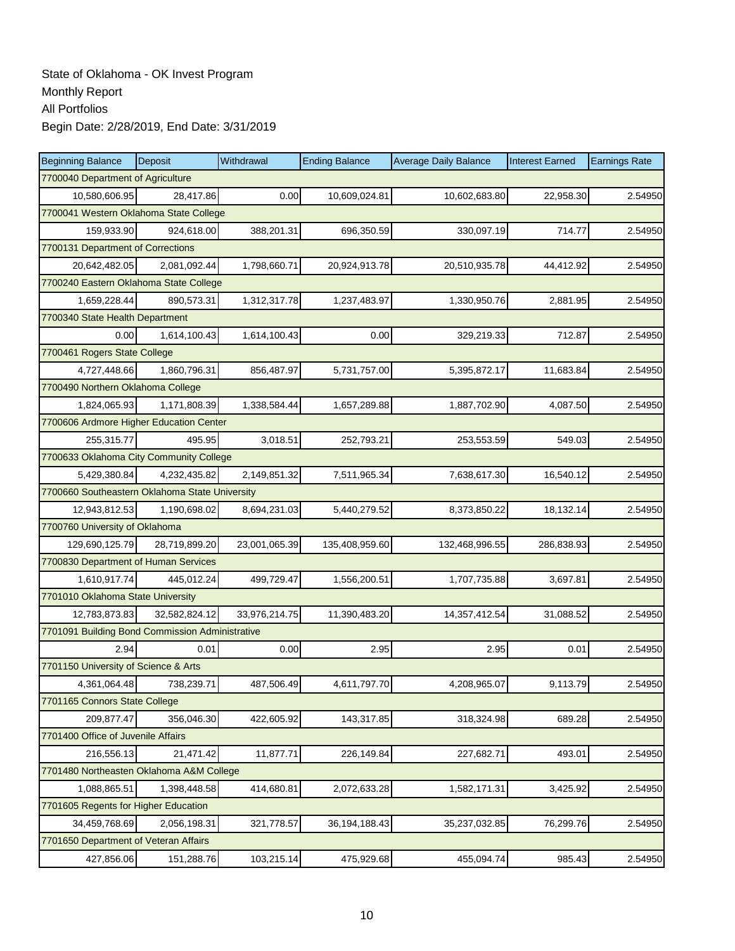| <b>Beginning Balance</b>                        | Deposit       | Withdrawal    | <b>Ending Balance</b> | <b>Average Daily Balance</b> | <b>Interest Earned</b> | <b>Earnings Rate</b> |  |  |  |
|-------------------------------------------------|---------------|---------------|-----------------------|------------------------------|------------------------|----------------------|--|--|--|
| 7700040 Department of Agriculture               |               |               |                       |                              |                        |                      |  |  |  |
| 10,580,606.95                                   | 28,417.86     | 0.00          | 10,609,024.81         | 10,602,683.80                | 22,958.30              | 2.54950              |  |  |  |
| 7700041 Western Oklahoma State College          |               |               |                       |                              |                        |                      |  |  |  |
| 159,933.90                                      | 924,618.00    | 388,201.31    | 696,350.59            | 330,097.19                   | 714.77                 | 2.54950              |  |  |  |
| 7700131 Department of Corrections               |               |               |                       |                              |                        |                      |  |  |  |
| 20,642,482.05                                   | 2,081,092.44  | 1,798,660.71  | 20,924,913.78         | 20,510,935.78                | 44,412.92              | 2.54950              |  |  |  |
| 7700240 Eastern Oklahoma State College          |               |               |                       |                              |                        |                      |  |  |  |
| 1,659,228.44                                    | 890,573.31    | 1,312,317.78  | 1,237,483.97          | 1,330,950.76                 | 2,881.95               | 2.54950              |  |  |  |
| 7700340 State Health Department                 |               |               |                       |                              |                        |                      |  |  |  |
| 0.00                                            | 1,614,100.43  | 1,614,100.43  | 0.00                  | 329,219.33                   | 712.87                 | 2.54950              |  |  |  |
| 7700461 Rogers State College                    |               |               |                       |                              |                        |                      |  |  |  |
| 4,727,448.66                                    | 1,860,796.31  | 856,487.97    | 5,731,757.00          | 5,395,872.17                 | 11,683.84              | 2.54950              |  |  |  |
| 7700490 Northern Oklahoma College               |               |               |                       |                              |                        |                      |  |  |  |
| 1,824,065.93                                    | 1,171,808.39  | 1,338,584.44  | 1,657,289.88          | 1,887,702.90                 | 4,087.50               | 2.54950              |  |  |  |
| 7700606 Ardmore Higher Education Center         |               |               |                       |                              |                        |                      |  |  |  |
| 255,315.77                                      | 495.95        | 3,018.51      | 252,793.21            | 253,553.59                   | 549.03                 | 2.54950              |  |  |  |
| 7700633 Oklahoma City Community College         |               |               |                       |                              |                        |                      |  |  |  |
| 5,429,380.84                                    | 4,232,435.82  | 2,149,851.32  | 7,511,965.34          | 7,638,617.30                 | 16,540.12              | 2.54950              |  |  |  |
| 7700660 Southeastern Oklahoma State University  |               |               |                       |                              |                        |                      |  |  |  |
| 12,943,812.53                                   | 1,190,698.02  | 8,694,231.03  | 5,440,279.52          | 8,373,850.22                 | 18,132.14              | 2.54950              |  |  |  |
| 7700760 University of Oklahoma                  |               |               |                       |                              |                        |                      |  |  |  |
| 129,690,125.79                                  | 28,719,899.20 | 23,001,065.39 | 135,408,959.60        | 132,468,996.55               | 286,838.93             | 2.54950              |  |  |  |
| 7700830 Department of Human Services            |               |               |                       |                              |                        |                      |  |  |  |
| 1,610,917.74                                    | 445,012.24    | 499,729.47    | 1,556,200.51          | 1,707,735.88                 | 3,697.81               | 2.54950              |  |  |  |
| 7701010 Oklahoma State University               |               |               |                       |                              |                        |                      |  |  |  |
| 12,783,873.83                                   | 32,582,824.12 | 33,976,214.75 | 11,390,483.20         | 14,357,412.54                | 31,088.52              | 2.54950              |  |  |  |
| 7701091 Building Bond Commission Administrative |               |               |                       |                              |                        |                      |  |  |  |
| 2.94                                            | 0.01          | 0.00          | 2.95                  | 2.95                         | 0.01                   | 2.54950              |  |  |  |
| 7701150 University of Science & Arts            |               |               |                       |                              |                        |                      |  |  |  |
| 4,361,064.48                                    | 738,239.71    | 487,506.49    | 4,611,797.70          | 4,208,965.07                 | 9,113.79               | 2.54950              |  |  |  |
| 7701165 Connors State College                   |               |               |                       |                              |                        |                      |  |  |  |
| 209,877.47                                      | 356,046.30    | 422,605.92    | 143,317.85            | 318,324.98                   | 689.28                 | 2.54950              |  |  |  |
| 7701400 Office of Juvenile Affairs              |               |               |                       |                              |                        |                      |  |  |  |
| 216,556.13                                      | 21,471.42     | 11,877.71     | 226,149.84            | 227,682.71                   | 493.01                 | 2.54950              |  |  |  |
| 7701480 Northeasten Oklahoma A&M College        |               |               |                       |                              |                        |                      |  |  |  |
| 1,088,865.51                                    | 1,398,448.58  | 414,680.81    | 2,072,633.28          | 1,582,171.31                 | 3,425.92               | 2.54950              |  |  |  |
| 7701605 Regents for Higher Education            |               |               |                       |                              |                        |                      |  |  |  |
| 34,459,768.69                                   | 2,056,198.31  | 321,778.57    | 36, 194, 188. 43      | 35,237,032.85                | 76,299.76              | 2.54950              |  |  |  |
| 7701650 Department of Veteran Affairs           |               |               |                       |                              |                        |                      |  |  |  |
| 427,856.06                                      | 151,288.76    | 103,215.14    | 475,929.68            | 455,094.74                   | 985.43                 | 2.54950              |  |  |  |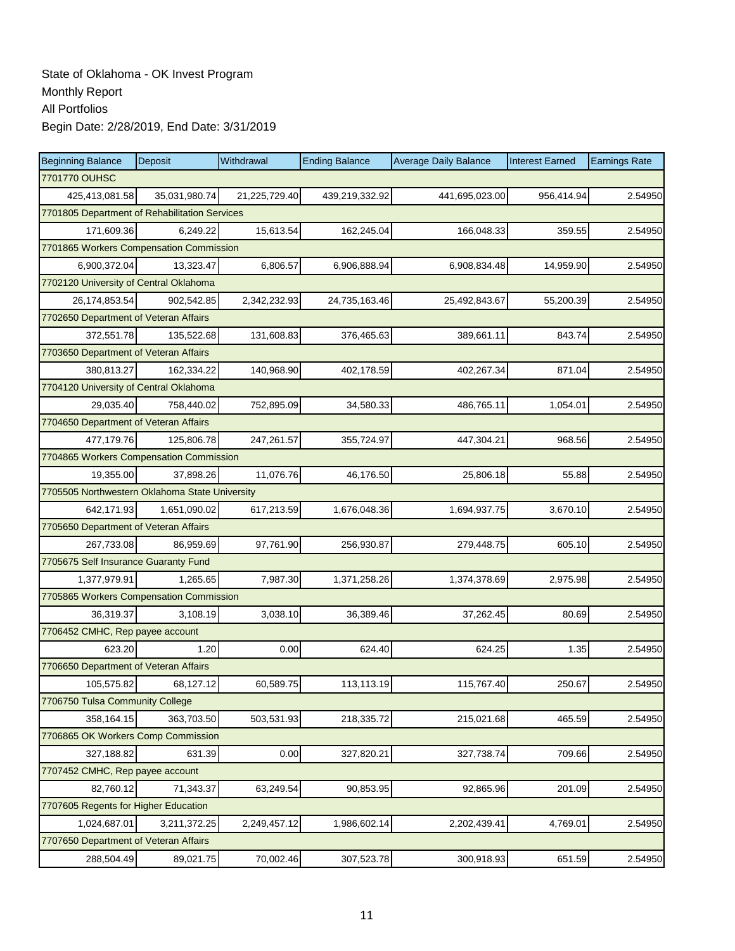| <b>Beginning Balance</b>                       | Deposit       | Withdrawal    | <b>Ending Balance</b> | <b>Average Daily Balance</b> | <b>Interest Earned</b> | <b>Earnings Rate</b> |  |  |  |
|------------------------------------------------|---------------|---------------|-----------------------|------------------------------|------------------------|----------------------|--|--|--|
| 7701770 OUHSC                                  |               |               |                       |                              |                        |                      |  |  |  |
| 425,413,081.58                                 | 35,031,980.74 | 21,225,729.40 | 439,219,332.92        | 441,695,023.00               | 956,414.94             | 2.54950              |  |  |  |
| 7701805 Department of Rehabilitation Services  |               |               |                       |                              |                        |                      |  |  |  |
| 171,609.36                                     | 6,249.22      | 15,613.54     | 162,245.04            | 166,048.33                   | 359.55                 | 2.54950              |  |  |  |
| 7701865 Workers Compensation Commission        |               |               |                       |                              |                        |                      |  |  |  |
| 6,900,372.04                                   | 13,323.47     | 6,806.57      | 6,906,888.94          | 6,908,834.48                 | 14,959.90              | 2.54950              |  |  |  |
| 7702120 University of Central Oklahoma         |               |               |                       |                              |                        |                      |  |  |  |
| 26, 174, 853.54                                | 902,542.85    | 2,342,232.93  | 24,735,163.46         | 25,492,843.67                | 55,200.39              | 2.54950              |  |  |  |
| 7702650 Department of Veteran Affairs          |               |               |                       |                              |                        |                      |  |  |  |
| 372,551.78                                     | 135,522.68    | 131,608.83    | 376,465.63            | 389,661.11                   | 843.74                 | 2.54950              |  |  |  |
| 7703650 Department of Veteran Affairs          |               |               |                       |                              |                        |                      |  |  |  |
| 380,813.27                                     | 162,334.22    | 140,968.90    | 402,178.59            | 402,267.34                   | 871.04                 | 2.54950              |  |  |  |
| 7704120 University of Central Oklahoma         |               |               |                       |                              |                        |                      |  |  |  |
| 29,035.40                                      | 758,440.02    | 752,895.09    | 34,580.33             | 486,765.11                   | 1,054.01               | 2.54950              |  |  |  |
| 7704650 Department of Veteran Affairs          |               |               |                       |                              |                        |                      |  |  |  |
| 477,179.76                                     | 125,806.78    | 247,261.57    | 355,724.97            | 447,304.21                   | 968.56                 | 2.54950              |  |  |  |
| 7704865 Workers Compensation Commission        |               |               |                       |                              |                        |                      |  |  |  |
| 19,355.00                                      | 37,898.26     | 11,076.76     | 46,176.50             | 25,806.18                    | 55.88                  | 2.54950              |  |  |  |
| 7705505 Northwestern Oklahoma State University |               |               |                       |                              |                        |                      |  |  |  |
| 642,171.93                                     | 1,651,090.02  | 617,213.59    | 1,676,048.36          | 1,694,937.75                 | 3,670.10               | 2.54950              |  |  |  |
| 7705650 Department of Veteran Affairs          |               |               |                       |                              |                        |                      |  |  |  |
| 267,733.08                                     | 86,959.69     | 97,761.90     | 256,930.87            | 279,448.75                   | 605.10                 | 2.54950              |  |  |  |
| 7705675 Self Insurance Guaranty Fund           |               |               |                       |                              |                        |                      |  |  |  |
| 1,377,979.91                                   | 1,265.65      | 7,987.30      | 1,371,258.26          | 1,374,378.69                 | 2,975.98               | 2.54950              |  |  |  |
| 7705865 Workers Compensation Commission        |               |               |                       |                              |                        |                      |  |  |  |
| 36,319.37                                      | 3,108.19      | 3,038.10      | 36,389.46             | 37,262.45                    | 80.69                  | 2.54950              |  |  |  |
| 7706452 CMHC, Rep payee account                |               |               |                       |                              |                        |                      |  |  |  |
| 623.20                                         | 1.20          | 0.00          | 624.40                | 624.25                       | 1.35                   | 2.54950              |  |  |  |
| 7706650 Department of Veteran Affairs          |               |               |                       |                              |                        |                      |  |  |  |
| 105,575.82                                     | 68,127.12     | 60,589.75     | 113,113.19            | 115,767.40                   | 250.67                 | 2.54950              |  |  |  |
| 7706750 Tulsa Community College                |               |               |                       |                              |                        |                      |  |  |  |
| 358,164.15                                     | 363,703.50    | 503,531.93    | 218,335.72            | 215,021.68                   | 465.59                 | 2.54950              |  |  |  |
| 7706865 OK Workers Comp Commission             |               |               |                       |                              |                        |                      |  |  |  |
| 327,188.82                                     | 631.39        | 0.00          | 327,820.21            | 327,738.74                   | 709.66                 | 2.54950              |  |  |  |
| 7707452 CMHC, Rep payee account                |               |               |                       |                              |                        |                      |  |  |  |
| 82,760.12                                      | 71,343.37     | 63,249.54     | 90,853.95             | 92,865.96                    | 201.09                 | 2.54950              |  |  |  |
| 7707605 Regents for Higher Education           |               |               |                       |                              |                        |                      |  |  |  |
| 1,024,687.01                                   | 3,211,372.25  | 2,249,457.12  | 1,986,602.14          | 2,202,439.41                 | 4,769.01               | 2.54950              |  |  |  |
| 7707650 Department of Veteran Affairs          |               |               |                       |                              |                        |                      |  |  |  |
| 288,504.49                                     | 89,021.75     | 70,002.46     | 307,523.78            | 300,918.93                   | 651.59                 | 2.54950              |  |  |  |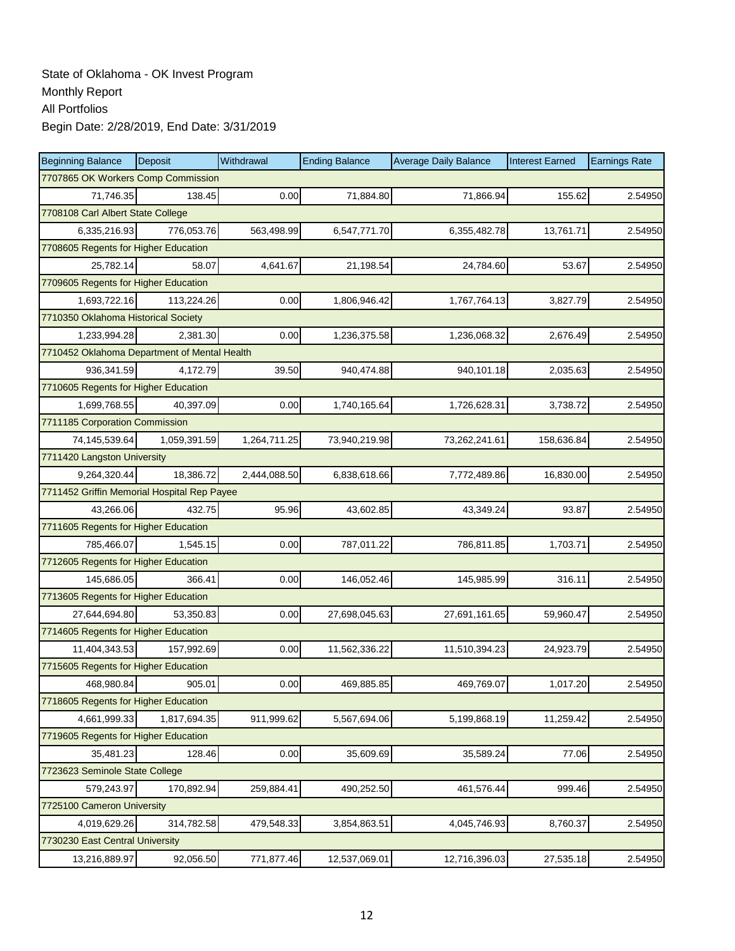| <b>Beginning Balance</b>                     | Deposit      | Withdrawal   | <b>Ending Balance</b> | <b>Average Daily Balance</b> | <b>Interest Earned</b> | <b>Earnings Rate</b> |  |  |
|----------------------------------------------|--------------|--------------|-----------------------|------------------------------|------------------------|----------------------|--|--|
| 7707865 OK Workers Comp Commission           |              |              |                       |                              |                        |                      |  |  |
| 71,746.35                                    | 138.45       | 0.00         | 71,884.80             | 71,866.94                    | 155.62                 | 2.54950              |  |  |
| 7708108 Carl Albert State College            |              |              |                       |                              |                        |                      |  |  |
| 6,335,216.93                                 | 776,053.76   | 563,498.99   | 6,547,771.70          | 6,355,482.78                 | 13,761.71              | 2.54950              |  |  |
| 7708605 Regents for Higher Education         |              |              |                       |                              |                        |                      |  |  |
| 25,782.14                                    | 58.07        | 4,641.67     | 21,198.54             | 24,784.60                    | 53.67                  | 2.54950              |  |  |
| 7709605 Regents for Higher Education         |              |              |                       |                              |                        |                      |  |  |
| 1,693,722.16                                 | 113,224.26   | 0.00         | 1,806,946.42          | 1,767,764.13                 | 3,827.79               | 2.54950              |  |  |
| 7710350 Oklahoma Historical Society          |              |              |                       |                              |                        |                      |  |  |
| 1,233,994.28                                 | 2,381.30     | 0.00         | 1,236,375.58          | 1,236,068.32                 | 2,676.49               | 2.54950              |  |  |
| 7710452 Oklahoma Department of Mental Health |              |              |                       |                              |                        |                      |  |  |
| 936,341.59                                   | 4,172.79     | 39.50        | 940,474.88            | 940,101.18                   | 2,035.63               | 2.54950              |  |  |
| 7710605 Regents for Higher Education         |              |              |                       |                              |                        |                      |  |  |
| 1.699.768.55                                 | 40,397.09    | 0.00         | 1,740,165.64          | 1,726,628.31                 | 3,738.72               | 2.54950              |  |  |
| 7711185 Corporation Commission               |              |              |                       |                              |                        |                      |  |  |
| 74,145,539.64                                | 1,059,391.59 | 1,264,711.25 | 73,940,219.98         | 73,262,241.61                | 158,636.84             | 2.54950              |  |  |
| 7711420 Langston University                  |              |              |                       |                              |                        |                      |  |  |
| 9.264.320.44                                 | 18,386.72    | 2,444,088.50 | 6,838,618.66          | 7,772,489.86                 | 16,830.00              | 2.54950              |  |  |
| 7711452 Griffin Memorial Hospital Rep Payee  |              |              |                       |                              |                        |                      |  |  |
| 43,266.06                                    | 432.75       | 95.96        | 43,602.85             | 43,349.24                    | 93.87                  | 2.54950              |  |  |
| 7711605 Regents for Higher Education         |              |              |                       |                              |                        |                      |  |  |
| 785,466.07                                   | 1,545.15     | 0.00         | 787,011.22            | 786,811.85                   | 1,703.71               | 2.54950              |  |  |
| 7712605 Regents for Higher Education         |              |              |                       |                              |                        |                      |  |  |
| 145,686.05                                   | 366.41       | 0.00         | 146,052.46            | 145,985.99                   | 316.11                 | 2.54950              |  |  |
| 7713605 Regents for Higher Education         |              |              |                       |                              |                        |                      |  |  |
| 27,644,694.80                                | 53,350.83    | 0.00         | 27,698,045.63         | 27,691,161.65                | 59,960.47              | 2.54950              |  |  |
| 7714605 Regents for Higher Education         |              |              |                       |                              |                        |                      |  |  |
| 11,404,343.53                                | 157,992.69   | 0.00         | 11,562,336.22         | 11,510,394.23                | 24,923.79              | 2.54950              |  |  |
| 7715605 Regents for Higher Education         |              |              |                       |                              |                        |                      |  |  |
| 468,980.84                                   | 905.01       | 0.00         | 469,885.85            | 469,769.07                   | 1,017.20               | 2.54950              |  |  |
| 7718605 Regents for Higher Education         |              |              |                       |                              |                        |                      |  |  |
| 4,661,999.33                                 | 1,817,694.35 | 911,999.62   | 5,567,694.06          | 5,199,868.19                 | 11,259.42              | 2.54950              |  |  |
| 7719605 Regents for Higher Education         |              |              |                       |                              |                        |                      |  |  |
| 35,481.23                                    | 128.46       | 0.00         | 35,609.69             | 35,589.24                    | 77.06                  | 2.54950              |  |  |
| 7723623 Seminole State College               |              |              |                       |                              |                        |                      |  |  |
| 579,243.97                                   | 170,892.94   | 259,884.41   | 490,252.50            | 461,576.44                   | 999.46                 | 2.54950              |  |  |
| 7725100 Cameron University                   |              |              |                       |                              |                        |                      |  |  |
| 4,019,629.26                                 | 314,782.58   | 479,548.33   | 3,854,863.51          | 4,045,746.93                 | 8,760.37               | 2.54950              |  |  |
| 7730230 East Central University              |              |              |                       |                              |                        |                      |  |  |
| 13,216,889.97                                | 92,056.50    | 771,877.46   | 12,537,069.01         | 12,716,396.03                | 27,535.18              | 2.54950              |  |  |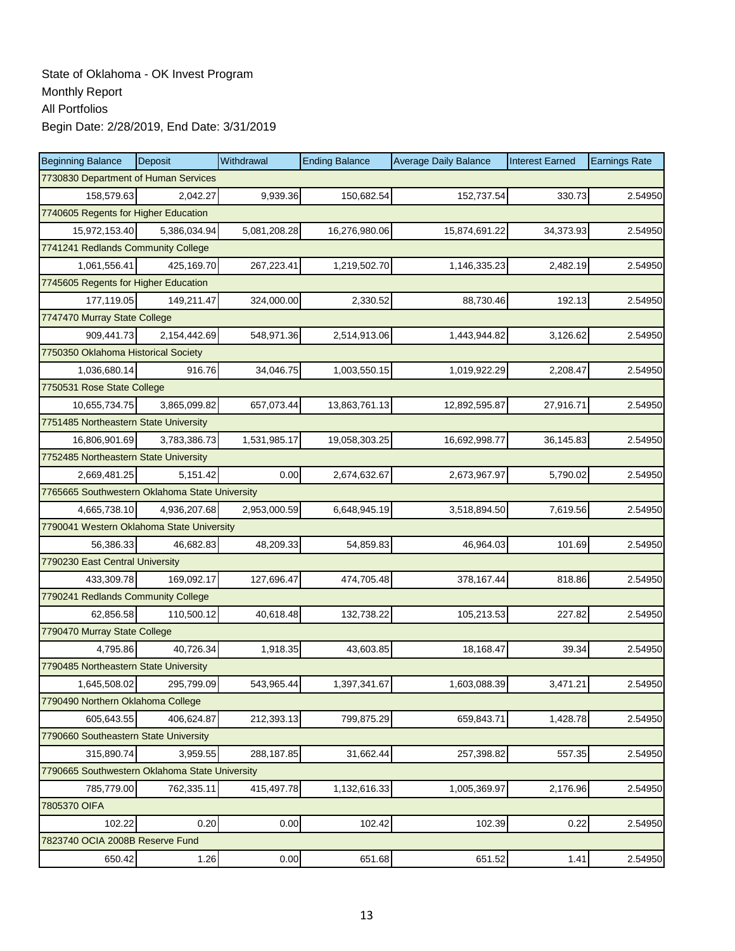| <b>Beginning Balance</b>                       | Deposit      | Withdrawal   | <b>Ending Balance</b> | <b>Average Daily Balance</b> | <b>Interest Earned</b> | <b>Earnings Rate</b> |  |  |  |  |
|------------------------------------------------|--------------|--------------|-----------------------|------------------------------|------------------------|----------------------|--|--|--|--|
| 7730830 Department of Human Services           |              |              |                       |                              |                        |                      |  |  |  |  |
| 158,579.63                                     | 2,042.27     | 9,939.36     | 150,682.54            | 152,737.54                   | 330.73                 | 2.54950              |  |  |  |  |
| 7740605 Regents for Higher Education           |              |              |                       |                              |                        |                      |  |  |  |  |
| 15,972,153.40                                  | 5,386,034.94 | 5,081,208.28 | 16,276,980.06         | 15,874,691.22                | 34,373.93              | 2.54950              |  |  |  |  |
| 7741241 Redlands Community College             |              |              |                       |                              |                        |                      |  |  |  |  |
| 1,061,556.41                                   | 425,169.70   | 267,223.41   | 1,219,502.70          | 1,146,335.23                 | 2,482.19               | 2.54950              |  |  |  |  |
| 7745605 Regents for Higher Education           |              |              |                       |                              |                        |                      |  |  |  |  |
| 177,119.05                                     | 149,211.47   | 324,000.00   | 2,330.52              | 88,730.46                    | 192.13                 | 2.54950              |  |  |  |  |
| 7747470 Murray State College                   |              |              |                       |                              |                        |                      |  |  |  |  |
| 909,441.73                                     | 2,154,442.69 | 548,971.36   | 2,514,913.06          | 1,443,944.82                 | 3,126.62               | 2.54950              |  |  |  |  |
| 7750350 Oklahoma Historical Society            |              |              |                       |                              |                        |                      |  |  |  |  |
| 1,036,680.14                                   | 916.76       | 34,046.75    | 1,003,550.15          | 1,019,922.29                 | 2,208.47               | 2.54950              |  |  |  |  |
| 7750531 Rose State College                     |              |              |                       |                              |                        |                      |  |  |  |  |
| 10,655,734.75                                  | 3,865,099.82 | 657,073.44   | 13,863,761.13         | 12,892,595.87                | 27,916.71              | 2.54950              |  |  |  |  |
| 7751485 Northeastern State University          |              |              |                       |                              |                        |                      |  |  |  |  |
| 16,806,901.69                                  | 3,783,386.73 | 1,531,985.17 | 19,058,303.25         | 16,692,998.77                | 36,145.83              | 2.54950              |  |  |  |  |
| 7752485 Northeastern State University          |              |              |                       |                              |                        |                      |  |  |  |  |
| 2,669,481.25                                   | 5,151.42     | 0.00         | 2,674,632.67          | 2,673,967.97                 | 5,790.02               | 2.54950              |  |  |  |  |
| 7765665 Southwestern Oklahoma State University |              |              |                       |                              |                        |                      |  |  |  |  |
| 4,665,738.10                                   | 4,936,207.68 | 2,953,000.59 | 6,648,945.19          | 3,518,894.50                 | 7,619.56               | 2.54950              |  |  |  |  |
| 7790041 Western Oklahoma State University      |              |              |                       |                              |                        |                      |  |  |  |  |
| 56,386.33                                      | 46,682.83    | 48,209.33    | 54,859.83             | 46,964.03                    | 101.69                 | 2.54950              |  |  |  |  |
| 7790230 East Central University                |              |              |                       |                              |                        |                      |  |  |  |  |
| 433,309.78                                     | 169,092.17   | 127,696.47   | 474,705.48            | 378,167.44                   | 818.86                 | 2.54950              |  |  |  |  |
| 7790241 Redlands Community College             |              |              |                       |                              |                        |                      |  |  |  |  |
| 62,856.58                                      | 110,500.12   | 40,618.48    | 132,738.22            | 105,213.53                   | 227.82                 | 2.54950              |  |  |  |  |
| 7790470 Murray State College                   |              |              |                       |                              |                        |                      |  |  |  |  |
| 4,795.86                                       | 40,726.34    | 1,918.35     | 43,603.85             | 18,168.47                    | 39.34                  | 2.54950              |  |  |  |  |
| 7790485 Northeastern State University          |              |              |                       |                              |                        |                      |  |  |  |  |
| 1,645,508.02                                   | 295,799.09   | 543,965.44   | 1,397,341.67          | 1,603,088.39                 | 3,471.21               | 2.54950              |  |  |  |  |
| 7790490 Northern Oklahoma College              |              |              |                       |                              |                        |                      |  |  |  |  |
| 605,643.55                                     | 406,624.87   | 212,393.13   | 799,875.29            | 659,843.71                   | 1,428.78               | 2.54950              |  |  |  |  |
| 7790660 Southeastern State University          |              |              |                       |                              |                        |                      |  |  |  |  |
| 315,890.74                                     | 3,959.55     | 288,187.85   | 31,662.44             | 257,398.82                   | 557.35                 | 2.54950              |  |  |  |  |
| 7790665 Southwestern Oklahoma State University |              |              |                       |                              |                        |                      |  |  |  |  |
| 785,779.00                                     | 762,335.11   | 415,497.78   | 1,132,616.33          | 1,005,369.97                 | 2,176.96               | 2.54950              |  |  |  |  |
| 7805370 OIFA                                   |              |              |                       |                              |                        |                      |  |  |  |  |
| 102.22                                         | 0.20         | 0.00         | 102.42                | 102.39                       | 0.22                   | 2.54950              |  |  |  |  |
| 7823740 OCIA 2008B Reserve Fund                |              |              |                       |                              |                        |                      |  |  |  |  |
| 650.42                                         | 1.26         | 0.00         | 651.68                | 651.52                       | 1.41                   | 2.54950              |  |  |  |  |